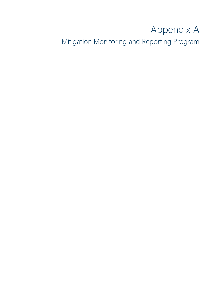# Appendix A

Mitigation Monitoring and Reporting Program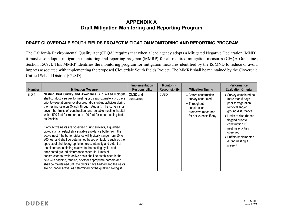#### APPENDIX A Draft Mitigation Monitoring and Reporting Program

#### DRAFT CLOVERDALE SOUTH FIELDS PROJECT MITIGATION MONITORING AND REPORTING PROGRAM

The California Environmental Quality Act (CEQA) requires that when a lead agency adopts a Mitigated Negative Declaration (MND), it must also adopt a mitigation monitoring and reporting program (MMRP) for all required mitigation measures (CEQA Guidelines Section 15097). This MMRP identifies the monitoring program for mitigation measures identified by the IS/MND to reduce or avoid impacts associated with implementing the proposed Cloverdale South Fields Project. The MMRP shall be maintained by the Cloverdale Unified School District (CUSD).

| <b>Number</b> | <b>Mitigation Measure</b>                                                                                                                                                                                                                                                                                                                                                                                                                                                                                                                                                                                                                                                                                                                                                                                                                                                                                                                                                                                                                                                                                                                                     | Implementation<br><b>Responsibility</b> | <b>Monitoring</b><br><b>Responsibility</b> | <b>Mitigation Timing</b>                                                                                                        | <b>Performance</b><br><b>Evaluation Criteria</b>                                                                                                                                                                                                                      |
|---------------|---------------------------------------------------------------------------------------------------------------------------------------------------------------------------------------------------------------------------------------------------------------------------------------------------------------------------------------------------------------------------------------------------------------------------------------------------------------------------------------------------------------------------------------------------------------------------------------------------------------------------------------------------------------------------------------------------------------------------------------------------------------------------------------------------------------------------------------------------------------------------------------------------------------------------------------------------------------------------------------------------------------------------------------------------------------------------------------------------------------------------------------------------------------|-----------------------------------------|--------------------------------------------|---------------------------------------------------------------------------------------------------------------------------------|-----------------------------------------------------------------------------------------------------------------------------------------------------------------------------------------------------------------------------------------------------------------------|
| <b>BIO-1</b>  | Nesting Bird Survey and Avoidance. A qualified biologist<br>shall conduct a survey for nesting birds approximately two days<br>prior to vegetation removal or ground-disturbing activities during<br>the nesting season (March through August). The survey shall<br>cover the limits of construction and suitable nesting habitat<br>within 500 feet for raptors and 100 feet for other nesting birds,<br>as feasible.<br>If any active nests are observed during surveys, a qualified<br>biologist shall establish a suitable avoidance buffer from the<br>active nest. The buffer distance will typically range from 50 to<br>300 feet and shall be determined based on factors such as the<br>species of bird, topographic features, intensity and extent of<br>the disturbance, timing relative to the nesting cycle, and<br>anticipated ground disturbance schedule. Limits of<br>construction to avoid active nests shall be established in the<br>field with flagging, fencing, or other appropriate barriers and<br>shall be maintained until the chicks have fledged and the nests<br>are no longer active, as determined by the qualified biologist | CUSD and<br>contractors                 | <b>CUSD</b>                                | • Before construction -<br>survey conducted<br>• Throughout<br>construction -<br>protective measures<br>for active nests if any | • Survey completed no<br>more than 5 days<br>prior to vegetation<br>removal and/or<br>ground disturbance<br>• Limits of disturbance<br>flagged prior to<br>construction if<br>nesting activities<br>observed<br>• Buffers implemented<br>during nesting if<br>present |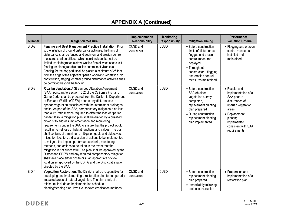| <b>Number</b> | <b>Mitigation Measure</b>                                                                                                                                                                                                                                                                                                                                                                                                                                                                                                                                                                                                                                                                                                                                                                                                                                                                                                                                                                                                                                                                                                                                                                                                                                          | Implementation<br><b>Responsibility</b> | <b>Monitoring</b><br><b>Responsibility</b> | <b>Mitigation Timing</b>                                                                                                                                                                         | Performance<br><b>Evaluation Criteria</b>                                                                                                                                                 |
|---------------|--------------------------------------------------------------------------------------------------------------------------------------------------------------------------------------------------------------------------------------------------------------------------------------------------------------------------------------------------------------------------------------------------------------------------------------------------------------------------------------------------------------------------------------------------------------------------------------------------------------------------------------------------------------------------------------------------------------------------------------------------------------------------------------------------------------------------------------------------------------------------------------------------------------------------------------------------------------------------------------------------------------------------------------------------------------------------------------------------------------------------------------------------------------------------------------------------------------------------------------------------------------------|-----------------------------------------|--------------------------------------------|--------------------------------------------------------------------------------------------------------------------------------------------------------------------------------------------------|-------------------------------------------------------------------------------------------------------------------------------------------------------------------------------------------|
| BIO-2         | Fencing and Best Management Practice Installation. Prior<br>to the initiation of ground disturbance activities, the limits of<br>disturbance shall be fenced and sediment and erosion control<br>measures shall be utilized, which could include, but not be<br>limited to: biodegradable straw wattles free of weed seeds, silt<br>fencing, or biodegradable erosion control mats/blankets.<br>Fencing for the dog park shall be placed a minimum of 25 feet<br>from the edge of the adjacent riparian woodland vegetation. No<br>construction, staging, or other ground disturbance activities shall<br>be permitted beyond the fencing.                                                                                                                                                                                                                                                                                                                                                                                                                                                                                                                                                                                                                         | CUSD and<br>contractors                 | <b>CUSD</b>                                | • Before construction -<br>limits of disturbance<br>flagged and erosion<br>control measures<br>deployed<br>• Throughout<br>construction - flagging<br>and erosion control<br>measures maintained | • Flagging and erosion<br>control measures<br>installed and<br>maintained                                                                                                                 |
| BIO-3         | Riparian Vegetation. A Streambed Alteration Agreement<br>(SAA), pursuant to Section 1602 of the California Fish and<br>Game Code, shall be procured from the California Department<br>of Fish and Wildlife (CDFW) prior to any disturbances to<br>riparian vegetation associated with the intermittent drainages<br>onsite. As part of the SAA, compensatory mitigation a no less<br>than a 1:1 ratio may be required to offset the loss of riparian<br>habitat. If so, a mitigation plan shall be drafted by a qualified<br>biologist to address implementation and monitoring<br>requirements under the SAA to ensure that the project would<br>result in no net loss of habitat functions and values. The plan<br>shall contain, at a minimum, mitigation goals and objectives,<br>mitigation location, a discussion of actions to be implemented<br>to mitigate the impact, performance criteria, monitoring<br>methods, and actions to be taken in the event that the<br>mitigation is not successful. The plan shall be approved by the<br>District and CDFW and any required compensatory mitigation<br>shall take place either onsite or at an appropriate off-site<br>location as approved by the CDFW and the District at a ratio<br>directed by the SAA | CUSD and<br>contractors                 | <b>CUSD</b>                                | • Before construction -<br>SAA obtained.<br>vegetation survey<br>completed,<br>replacement planting<br>plan prepared<br>• During construction -<br>replacement planting<br>plan implemented      | • Receipt and<br>implementation of a<br>SAA prior to<br>disturbance of<br>riparian vegetation<br>areas<br>• Replacement<br>planting<br>implemented<br>consistent with SAA<br>requirements |
| BIO-4         | Vegetation Restoration. The District shall be responsible for<br>developing and implementing a restoration plan for temporarily<br>impacted areas of natural vegetation. The plan shall, at a<br>minimum, include an implementation schedule,<br>planting/seeding plan, invasive species eradication methods,                                                                                                                                                                                                                                                                                                                                                                                                                                                                                                                                                                                                                                                                                                                                                                                                                                                                                                                                                      | CUSD and<br>contractors                 | <b>CUSD</b>                                | • Before construction -<br>replacement planting<br>plan prepared<br>• Immediately following<br>project construction -                                                                            | • Preparation and<br>implementation of a<br>restoration plan                                                                                                                              |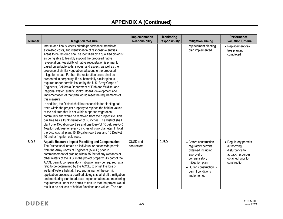| <b>Number</b> | <b>Mitigation Measure</b>                                                                                                                                                                                                                                                                                                                                                                                                                                                                                                                                                                                                                                                                                                                                                                                                                                                                                                                                                                                                                                                                                                                                                                                                                                                                                                                                                                                              | Implementation<br><b>Responsibility</b> | <b>Monitoring</b><br><b>Responsibility</b> | <b>Mitigation Timing</b>                                                                                                                                                             | Performance<br><b>Evaluation Criteria</b>                                                                       |
|---------------|------------------------------------------------------------------------------------------------------------------------------------------------------------------------------------------------------------------------------------------------------------------------------------------------------------------------------------------------------------------------------------------------------------------------------------------------------------------------------------------------------------------------------------------------------------------------------------------------------------------------------------------------------------------------------------------------------------------------------------------------------------------------------------------------------------------------------------------------------------------------------------------------------------------------------------------------------------------------------------------------------------------------------------------------------------------------------------------------------------------------------------------------------------------------------------------------------------------------------------------------------------------------------------------------------------------------------------------------------------------------------------------------------------------------|-----------------------------------------|--------------------------------------------|--------------------------------------------------------------------------------------------------------------------------------------------------------------------------------------|-----------------------------------------------------------------------------------------------------------------|
|               | interim and final success criteria/performance standards,<br>estimated costs, and identification of responsible entities.<br>Areas to be restored shall be identified by a qualified biologist<br>as being able to feasibly support the proposed native<br>revegetation. Feasibility of native revegetation is primarily<br>based on suitable soils, slopes, and aspect, as well as the<br>presence of similar vegetation adjacent to the proposed<br>mitigation areas. Further, the restoration areas shall be<br>preserved in perpetuity. If a substantially similar plan is<br>required under permits issued by the U.S. Army Corps of<br>Engineers, California Department of Fish and Wildlife, and<br>Regional Water Quality Control Board, development and<br>implementation of that plan would meet the requirements of<br>this measure.<br>In addition, the District shall be responsible for planting oak<br>trees within the project property to replace the habitat values<br>of the oak tree that is not within a riparian vegetation<br>community and would be removed from the project site. This<br>oak tree has a trunk diameter of 60 inches. The District shall<br>plant one 15-gallon oak tree and one DeePot 40 oak tree OR<br>1-gallon oak tree for every 5 inches of trunk diameter. In total,<br>the District shall plant 15 15-gallon oak trees and 15 DeePot<br>40 and/or 1 gallon oak trees. |                                         |                                            | replacement planting<br>plan implemented                                                                                                                                             | • Replacement oak<br>tree planting<br>completed                                                                 |
| BIO-5         | Aquatic Resource Impact Permitting and Compensation.<br>The District shall obtain an individual or nationwide permit<br>from the Army Corps of Engineers (ACOE) prior to<br>commencement of grading within 75 feet of any wetlands or<br>other waters of the U.S. in the project property. As part of the<br>ACOE permit, compensatory mitigation may be required, at a<br>ratio to be determined by the ACOE, to offset the loss of<br>wetland/waters habitat. If so, and as part of the permit<br>application process, a qualified biologist shall draft a mitigation<br>and monitoring plan to address implementation and monitoring<br>requirements under the permit to ensure that the project would<br>result in no net loss of habitat functions and values. The plan                                                                                                                                                                                                                                                                                                                                                                                                                                                                                                                                                                                                                                           | CUSD and<br>contractors                 | <b>CUSD</b>                                | • Before construction -<br>regulatory permits<br>obtained including<br>approval of<br>compensatory<br>mitigation plan<br>• During construction -<br>permit conditions<br>implemented | • Regulatory permits<br>authorizing<br>disturbance to<br>aquatic resources<br>obtained prior to<br>construction |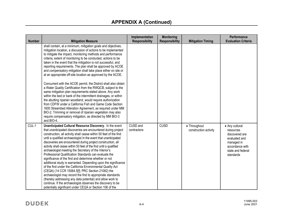| <b>Number</b> | <b>Mitigation Measure</b>                                                                                                                                                                                                                                                                                                                                                                                                                                                                                                                                                                                                                                                                                                                                                                                                                                                                                                                                                                                                   | Implementation<br><b>Responsibility</b> | <b>Monitoring</b><br><b>Responsibility</b> | <b>Mitigation Timing</b>              | Performance<br><b>Evaluation Criteria</b>                                                                                         |
|---------------|-----------------------------------------------------------------------------------------------------------------------------------------------------------------------------------------------------------------------------------------------------------------------------------------------------------------------------------------------------------------------------------------------------------------------------------------------------------------------------------------------------------------------------------------------------------------------------------------------------------------------------------------------------------------------------------------------------------------------------------------------------------------------------------------------------------------------------------------------------------------------------------------------------------------------------------------------------------------------------------------------------------------------------|-----------------------------------------|--------------------------------------------|---------------------------------------|-----------------------------------------------------------------------------------------------------------------------------------|
|               | shall contain, at a minimum, mitigation goals and objectives,<br>mitigation location, a discussion of actions to be implemented<br>to mitigate the impact, monitoring methods and performance<br>criteria, extent of monitoring to be conducted, actions to be<br>taken in the event that the mitigation is not successful, and<br>reporting requirements. The plan shall be approved by ACOE<br>and compensatory mitigation shall take place either on site or<br>at an appropriate off-site location as approved by the ACOE.<br>Concurrent with the ACOE permit, the District shall also obtain<br>a Water Quality Certification from the RWQCB, subject to the<br>same mitigation plan requirements stated above. Any work<br>within the bed or bank of the intermittent drainages, or within<br>the abutting riparian woodland, would require authorization                                                                                                                                                            |                                         |                                            |                                       |                                                                                                                                   |
|               | from CDFW under a California Fish and Game Code Section<br>1600 Streambed Alteration Agreement, as required under MM<br>BIO-2. Trimming or removal of riparian vegetation may also<br>require compensatory mitigation, as directed by MM BIO-3<br>and BIO-4.                                                                                                                                                                                                                                                                                                                                                                                                                                                                                                                                                                                                                                                                                                                                                                |                                         |                                            |                                       |                                                                                                                                   |
| CUL-1         | Unanticipated Cultural Resource Discovery. In the event<br>that unanticipated discoveries are encountered during project<br>construction, all activity shall cease within 50 feet of the find<br>until a qualified archaeologist In the event that unanticipated<br>discoveries are encountered during project construction, all<br>activity shall cease within 50 feet of the find until a qualified<br>archaeologist meeting the Secretary of the Interior's<br>Professional Qualification Standards can evaluate the<br>significance of the find and determine whether or not<br>additional study is warranted. Depending upon the significance<br>of the find under the California Environmental Quality Act<br>(CEQA) (14 CCR 15064.5[f]; PRC Section 21082) the<br>archaeologist may record the find to appropriate standards<br>(thereby addressing any data potential) and allow work to<br>continue. If the archaeologist observes the discovery to be<br>potentially significant under CEQA or Section 106 of the | CUSD and<br>contractors                 | <b>CUSD</b>                                | • Throughout<br>construction activity | • Any cultural<br>resources<br>discovered are<br>evaluated and<br>managed in<br>accordance with<br>state and federal<br>standards |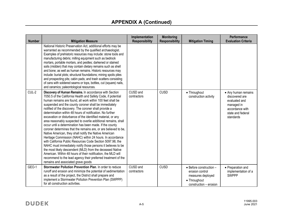| <b>Number</b> | <b>Mitigation Measure</b>                                                                                                                                                                                                                                                                                                                                                                                                                                                                                                                                                                                                                                                                                                                                                                                                                                                                                                                                                                                                                                                                                                        | Implementation<br><b>Responsibility</b> | <b>Monitoring</b><br><b>Responsibility</b> | <b>Mitigation Timing</b>                                                                                  | Performance<br><b>Evaluation Criteria</b>                                                                                 |
|---------------|----------------------------------------------------------------------------------------------------------------------------------------------------------------------------------------------------------------------------------------------------------------------------------------------------------------------------------------------------------------------------------------------------------------------------------------------------------------------------------------------------------------------------------------------------------------------------------------------------------------------------------------------------------------------------------------------------------------------------------------------------------------------------------------------------------------------------------------------------------------------------------------------------------------------------------------------------------------------------------------------------------------------------------------------------------------------------------------------------------------------------------|-----------------------------------------|--------------------------------------------|-----------------------------------------------------------------------------------------------------------|---------------------------------------------------------------------------------------------------------------------------|
|               | National Historic Preservation Act, additional efforts may be<br>warranted as recommended by the qualified archaeologist.<br>Examples of prehistoric resources may include: stone tools and<br>manufacturing debris; milling equipment such as bedrock<br>mortars, portable mortars, and pestles; darkened or stained<br>soils (midden) that may contain dietary remains such as shell<br>and bone; as well as human remains. Historic resources may<br>include: burial plots; structural foundations; mining spoils piles<br>and prospecting pits; cabin pads; and trash scatters consisting<br>of cans with soldered seams or tops, bottles, cut (square) nails,<br>and ceramics; paleontological resources.                                                                                                                                                                                                                                                                                                                                                                                                                   |                                         |                                            |                                                                                                           |                                                                                                                           |
| CUL-2         | Discovery of Human Remains. In accordance with Section<br>7050.5 of the California Health and Safety Code, if potential<br>human remains are found, all work within 100 feet shall be<br>suspended and the county coroner shall be immediately<br>notified of the discovery. The coroner shall provide a<br>determination within 48 hours of notification. No further<br>excavation or disturbance of the identified material, or any<br>area reasonably suspected to overlie additional remains, shall<br>occur until a determination has been made. If the county<br>coroner determines that the remains are, or are believed to be,<br>Native American, they shall notify the Native American<br>Heritage Commission (NAHC) within 24 hours. In accordance<br>with California Public Resources Code Section 5097.98, the<br>NAHC must immediately notify those persons it believes to be<br>the most likely descendent (MLD) from the deceased Native<br>American. Within 48 hours of their notification, the MLD will<br>recommend to the lead agency their preferred treatment of the<br>remains and associated grave goods | CUSD and<br>contractors                 | <b>CUSD</b>                                | • Throughout<br>construction activity                                                                     | • Any human remains<br>discovered are<br>evaluated and<br>managed in<br>accordance with<br>state and federal<br>standards |
| GEO-1         | Stormwater Pollution Prevention Plan. In order to reduce<br>runoff and erosion and minimize the potential of sedimentation<br>as a result of the project, the District shall prepare and<br>implement a Stormwater Pollution Prevention Plan (SWPPP)<br>for all construction activities.                                                                                                                                                                                                                                                                                                                                                                                                                                                                                                                                                                                                                                                                                                                                                                                                                                         | CUSD and<br>contractors                 | <b>CUSD</b>                                | • Before construction -<br>erosion control<br>measures deployed<br>• Throughout<br>construction - erosion | • Preparation and<br>implementation of a<br><b>SWPPP</b>                                                                  |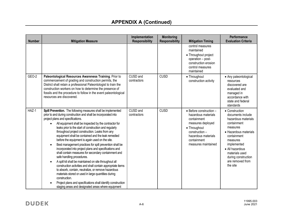| <b>Number</b> | <b>Mitigation Measure</b>                                                                                                                                                                                                                                                                                                                                                                                                                                                                                                                                                                                                                                                                                                                                                                                                                                                                                                                                                                                                                                  | Implementation<br><b>Responsibility</b> | <b>Monitoring</b><br><b>Responsibility</b> | <b>Mitigation Timing</b>                                                                                                                                                                      | <b>Performance</b><br><b>Evaluation Criteria</b>                                                                                                                                                                                                     |
|---------------|------------------------------------------------------------------------------------------------------------------------------------------------------------------------------------------------------------------------------------------------------------------------------------------------------------------------------------------------------------------------------------------------------------------------------------------------------------------------------------------------------------------------------------------------------------------------------------------------------------------------------------------------------------------------------------------------------------------------------------------------------------------------------------------------------------------------------------------------------------------------------------------------------------------------------------------------------------------------------------------------------------------------------------------------------------|-----------------------------------------|--------------------------------------------|-----------------------------------------------------------------------------------------------------------------------------------------------------------------------------------------------|------------------------------------------------------------------------------------------------------------------------------------------------------------------------------------------------------------------------------------------------------|
|               |                                                                                                                                                                                                                                                                                                                                                                                                                                                                                                                                                                                                                                                                                                                                                                                                                                                                                                                                                                                                                                                            |                                         |                                            | control measures<br>maintained<br>• Throughout project<br>operation - post-<br>construction erosion<br>control measures<br>maintained                                                         |                                                                                                                                                                                                                                                      |
| GEO-2         | Paleontological Resources Awareness Training. Prior to<br>commencement of grading and construction permits, the<br>District shall retain a professional Paleontologist to train the<br>construction workers on how to determine the presence of<br>fossils and the procedure to follow in the event paleontological<br>resources are discovered.                                                                                                                                                                                                                                                                                                                                                                                                                                                                                                                                                                                                                                                                                                           | CUSD and<br>contractors                 | <b>CUSD</b>                                | • Throughout<br>construction activity                                                                                                                                                         | • Any paleontological<br>resources<br>discovered are<br>evaluated and<br>managed in<br>accordance with<br>state and federal<br>standards                                                                                                             |
| HAZ-1         | Spill Prevention. The following measures shall be implemented<br>prior to and during construction and shall be incorporated into<br>project plans and specifications.<br>All equipment shall be inspected by the contractor for<br>leaks prior to the start of construction and regularly<br>throughout project construction. Leaks from any<br>equipment shall be contained and the leak remedied<br>before the equipment is again used on the site.<br>Best management practices for spill prevention shall be<br>incorporated into project plans and specifications and<br>shall contain measures for secondary containment and<br>safe handling procedures.<br>A spill kit shall be maintained on site throughout all<br>$\bullet$<br>construction activities and shall contain appropriate items<br>to absorb, contain, neutralize, or remove hazardous<br>materials stored or used in large quantities during<br>construction.<br>Project plans and specifications shall identify construction<br>staging areas and designated areas where equipment | CUSD and<br>contractors                 | CUSD                                       | $\bullet$ Before construction $-$<br>hazardous materials<br>containment<br>measures deployed<br>• Throughout<br>$construction -$<br>hazardous materials<br>containment<br>measures maintained | • Construction<br>documents include<br>hazardous materials<br>containment<br>measures<br>• Hazardous materials<br>containment<br>measures<br>implemented<br>• All hazardous<br>materials used<br>during construction<br>are removed from<br>the site |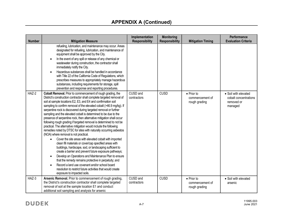| <b>Number</b> | <b>Mitigation Measure</b>                                                                                                                                                                                                                                                                                                                                                                                                                                                                                                                                                                                                                                                                                                                                                                                                                                                                                                                                                                                                                                                                                                                                                                                                                                                      | Implementation<br><b>Responsibility</b> | <b>Monitoring</b><br><b>Responsibility</b> | <b>Mitigation Timing</b>                               | Performance<br><b>Evaluation Criteria</b>                              |
|---------------|--------------------------------------------------------------------------------------------------------------------------------------------------------------------------------------------------------------------------------------------------------------------------------------------------------------------------------------------------------------------------------------------------------------------------------------------------------------------------------------------------------------------------------------------------------------------------------------------------------------------------------------------------------------------------------------------------------------------------------------------------------------------------------------------------------------------------------------------------------------------------------------------------------------------------------------------------------------------------------------------------------------------------------------------------------------------------------------------------------------------------------------------------------------------------------------------------------------------------------------------------------------------------------|-----------------------------------------|--------------------------------------------|--------------------------------------------------------|------------------------------------------------------------------------|
|               | refueling, lubrication, and maintenance may occur. Areas<br>designated for refueling, lubrication, and maintenance of<br>equipment shall be approved by the City.<br>In the event of any spill or release of any chemical or<br>wastewater during construction, the contractor shall<br>immediately notify the City.<br>Hazardous substances shall be handled in accordance<br>with Title 22 of the California Code of Regulations, which<br>prescribes measures to appropriately manage hazardous<br>substances, including requirements for storage, spill<br>prevention and response and reporting procedures.                                                                                                                                                                                                                                                                                                                                                                                                                                                                                                                                                                                                                                                               |                                         |                                            |                                                        |                                                                        |
| HAZ-2         | Cobalt Removal. Prior to commencement of rough grading, the<br>District's construction contractor shall complete targeted removal of<br>soil at sample locations E2, E3, and E4 and confirmation soil<br>sampling to confirm removal of the elevated cobalt (>46.9 mg/kg). If<br>serpentine rock is discovered during targeted removal or further<br>sampling and the elevated cobalt is determined to be due to the<br>presence of serpentine rock, then alternative mitigation shall occur<br>following rough grading if targeted removal is determined to not be<br>practical. The alternative mitigation would include the following<br>remedies noted by DTSC for sites with naturally occurring asbestos<br>(NOA) where removal is not practical.<br>Cover the site areas with elevated cobalt with imported<br>$\bullet$<br>clean fill materials or cover/cap specified areas with<br>buildings, hardscape, sod, or landscaping sufficient to<br>create a barrier and prevent future exposure pathways;<br>Develop an Operations and Maintenance Plan to ensure<br>that the remedy remains protective in perpetuity; and<br>Record a land use covenant and/or school board<br>resolution to restrict future activities that would create<br>exposure to impacted soils. | CUSD and<br>contractors                 | CUSD                                       | $\bullet$ Prior to<br>commencement of<br>rough grading | • Soil with elevated<br>cobalt concentrations<br>removed or<br>managed |
| HAZ-3         | Arsenic Removal. Prior to commencement of rough grading,<br>the District's construction contractor shall complete targeted<br>removal of soil at the sample location E1 and conduct<br>additional soil sampling and analysis for arsenic                                                                                                                                                                                                                                                                                                                                                                                                                                                                                                                                                                                                                                                                                                                                                                                                                                                                                                                                                                                                                                       | CUSD and<br>contractors                 | <b>CUSD</b>                                | $\bullet$ Prior to<br>commencement of<br>rough grading | • Soil with elevated<br>arsenic                                        |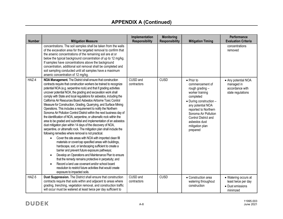| <b>Number</b> | <b>Mitigation Measure</b>                                                                                                                                                                                                                                                                                                                                                                                                                                                                                                                                                                                                                                                                                                                                                                                                                                                                                                                                                                                                                                                                                                                                                                                                                                                                                                                                                                                                                                                   | Implementation<br><b>Responsibility</b> | <b>Monitoring</b><br><b>Responsibility</b> | <b>Mitigation Timing</b>                                                                                                                                                                                                                                         | Performance<br><b>Evaluation Criteria</b>                                   |
|---------------|-----------------------------------------------------------------------------------------------------------------------------------------------------------------------------------------------------------------------------------------------------------------------------------------------------------------------------------------------------------------------------------------------------------------------------------------------------------------------------------------------------------------------------------------------------------------------------------------------------------------------------------------------------------------------------------------------------------------------------------------------------------------------------------------------------------------------------------------------------------------------------------------------------------------------------------------------------------------------------------------------------------------------------------------------------------------------------------------------------------------------------------------------------------------------------------------------------------------------------------------------------------------------------------------------------------------------------------------------------------------------------------------------------------------------------------------------------------------------------|-----------------------------------------|--------------------------------------------|------------------------------------------------------------------------------------------------------------------------------------------------------------------------------------------------------------------------------------------------------------------|-----------------------------------------------------------------------------|
|               | concentrations. The soil samples shall be taken from the walls<br>of the excavation area for the targeted removal to confirm that<br>the arsenic concentrations of the remaining soil are at or<br>below the typical background concentration of up to 12 mg/kg.<br>If samples have concentrations above the background<br>concentration, additional soil removal shall be completed and<br>soil sampling conducted until all samples have a maximum<br>arsenic concentration of 12 mg/kg.                                                                                                                                                                                                                                                                                                                                                                                                                                                                                                                                                                                                                                                                                                                                                                                                                                                                                                                                                                                  |                                         |                                            |                                                                                                                                                                                                                                                                  | concentrations<br>removed                                                   |
| HAZ-4         | NOA Management. The District shall ensure that construction<br>contracts require that construction workers be trained to recognize<br>potential NOA (e.g. serpentine rock) and that if grading activities<br>uncover potential NOA, the grading and excavation work shall<br>comply with State and local regulations for asbestos, including the<br>California Air Resources Board Asbestos Airborne Toxic Control<br>Measure for Construction, Grading, Quarrying, and Surface Mining<br>Operations. This includes a requirement to notify the Northern<br>Sonoma Air Pollution Control District within the next business day of<br>the identification of NOA, serpentine, or ultramafic rock within the<br>area to be graded and submittal and implementation of an asbestos<br>dust mitigation plan within 14 days of the discovery of NOA,<br>serpentine, or ultramafic rock. The mitigation plan shall include the<br>following remedies where removal is not practical.<br>Cover the site areas with NOA with imported clean fill<br>materials or cover/cap specified areas with buildings,<br>hardscape, sod, or landscaping sufficient to create a<br>barrier and prevent future exposure pathways;<br>Develop an Operations and Maintenance Plan to ensure<br>that the remedy remains protective in perpetuity; and<br>Record a land use covenant and/or school board<br>resolution to restrict future activities that would create<br>exposure to impacted soils. | CUSD and<br>contractors                 | CUSD                                       | $\bullet$ Prior to<br>commencement of<br>rough grading -<br>worker training<br>completed<br>• During construction -<br>any potential NOA<br>reported to Northern<br>Sonoma Air Pollution<br>Control District and<br>asbestos dust<br>mitigation plan<br>prepared | • Any potential NOA<br>managed in<br>accordance with<br>state regulations   |
| HAZ-5         | Dust Suppression. The District shall ensure that construction<br>contracts require that soils within and adjacent to areas where<br>grading, trenching, vegetation removal, and construction traffic<br>will occur must be watered at least twice per day sufficient to                                                                                                                                                                                                                                                                                                                                                                                                                                                                                                                                                                                                                                                                                                                                                                                                                                                                                                                                                                                                                                                                                                                                                                                                     | CUSD and<br>contractors                 | <b>CUSD</b>                                | • Construction area<br>watering throughout<br>construction                                                                                                                                                                                                       | • Watering occurs at<br>least twice per day<br>• Dust emissions<br>minimzed |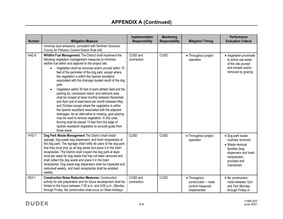| <b>Number</b> | <b>Mitigation Measure</b>                                                                                                                                                                                                                                                                                                                                                                                                                                                                                                                                                                                                                                                                                                                                                                                                                                                                                                                                                                | Implementation<br><b>Responsibility</b> | <b>Monitoring</b><br><b>Responsibility</b> | <b>Mitigation Timing</b>                                                | Performance<br><b>Evaluation Criteria</b>                                                                                                         |
|---------------|------------------------------------------------------------------------------------------------------------------------------------------------------------------------------------------------------------------------------------------------------------------------------------------------------------------------------------------------------------------------------------------------------------------------------------------------------------------------------------------------------------------------------------------------------------------------------------------------------------------------------------------------------------------------------------------------------------------------------------------------------------------------------------------------------------------------------------------------------------------------------------------------------------------------------------------------------------------------------------------|-----------------------------------------|--------------------------------------------|-------------------------------------------------------------------------|---------------------------------------------------------------------------------------------------------------------------------------------------|
|               | minimize dust emissions, consistent with Northern Sonoma<br>County Air Pollution Control District Rule 430.                                                                                                                                                                                                                                                                                                                                                                                                                                                                                                                                                                                                                                                                                                                                                                                                                                                                              |                                         |                                            |                                                                         |                                                                                                                                                   |
| HAZ-6         | Wildfire Fuel Management. The District shall implement the<br>following vegetation management measures to minimize<br>wildfire fuel within and adjacent to the project site:<br>Vegetation shall be removed and/or pruned within 15<br>feet of the perimeter of the dog park, except where<br>the vegetation is within the riparian woodland<br>associated with the drainage located south of the dog<br>park.<br>Vegetation within 30 feet of each athletic field and the<br>parking lot, concession stand, and restroom area<br>shall be mowed at least monthly between November<br>and April and at least twice per month between May<br>and October except where the vegetation is within<br>the riparian woodland associated with the adjacent<br>drainages. As an alternative to mowing, goat grazing<br>may be used to remove vegetation. In this case,<br>fencing shall be placed 10 feet from the edge of<br>riparian woodland vegetation to exclude goats from<br>those areas. | CUSD and<br>contractors                 | <b>CUSD</b>                                | • Throughout project<br>operation                                       | • Vegetation proximate<br>to active use areas<br>of the site pruned<br>and mowed and/or<br>removed by grazing                                     |
| HYD-1         | Dog Park Waste Management The District shall install<br>signage, dog waste bag dispensers, and trash receptacles at<br>the dog park. The signage shall notify all users of the dog park<br>that they must pick up all dog waste and place it in the trash<br>receptacles. The District shall inspect the dog park at least<br>once per week for dog waste that has not been removed and<br>shall collect the dog waste and place it in the trash<br>receptacles. Dog waste bag dispensers shall be inspected and<br>restocked weekly, and trash receptacles shall be emptied<br>weekly.                                                                                                                                                                                                                                                                                                                                                                                                  | <b>CUSD</b>                             | <b>CUSD</b>                                | • Throughout project<br>operation                                       | • Dog park waste<br>routinely removed<br>· Waste removal<br>facilities (bag<br>dispensers and trash<br>receptacles)<br>provided and<br>maintained |
| NOI-1         | <b>Construction Noise Reduction Measures. Construction</b><br>activity for site preparation and for future development shall be<br>limited to the hours between 7:00 a.m. and 4:00 p.m., Monday<br>through Friday. No construction shall occur on State holidays                                                                                                                                                                                                                                                                                                                                                                                                                                                                                                                                                                                                                                                                                                                         | CUSD and<br>contractors                 | <b>CUSD</b>                                | • Throughout<br>construction - noise<br>control measures<br>implemented | • No construction<br>noise between 7pm<br>and 7am Monday<br>through Friday or                                                                     |